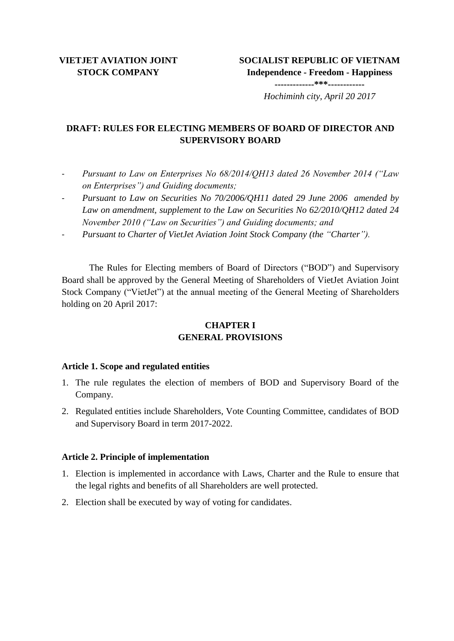## **VIETJET AVIATION JOINT STOCK COMPANY**

# **DRAFT: RULES FOR ELECTING MEMBERS OF BOARD OF DIRECTOR AND SUPERVISORY BOARD**

- *Pursuant to Law on Enterprises No 68/2014/QH13 dated 26 November 2014 ("Law on Enterprises") and Guiding documents;*
- *Pursuant to Law on Securities No 70/2006/QH11 dated 29 June 2006 amended by Law on amendment, supplement to the Law on Securities No 62/2010/QH12 dated 24 November 2010 ("Law on Securities") and Guiding documents; and*
- *Pursuant to Charter of VietJet Aviation Joint Stock Company (the "Charter").*

The Rules for Electing members of Board of Directors ("BOD") and Supervisory Board shall be approved by the General Meeting of Shareholders of VietJet Aviation Joint Stock Company ("VietJet") at the annual meeting of the General Meeting of Shareholders holding on 20 April 2017:

# **CHAPTER I GENERAL PROVISIONS**

## **Article 1. Scope and regulated entities**

- 1. The rule regulates the election of members of BOD and Supervisory Board of the Company.
- 2. Regulated entities include Shareholders, Vote Counting Committee, candidates of BOD and Supervisory Board in term 2017-2022.

## **Article 2. Principle of implementation**

- 1. Election is implemented in accordance with Laws, Charter and the Rule to ensure that the legal rights and benefits of all Shareholders are well protected.
- 2. Election shall be executed by way of voting for candidates.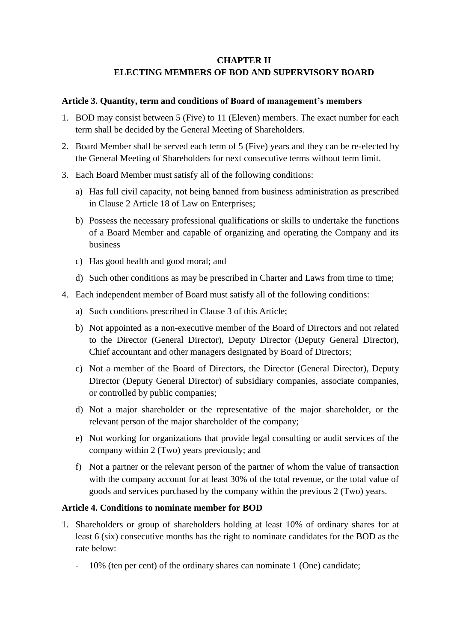## **CHAPTER II ELECTING MEMBERS OF BOD AND SUPERVISORY BOARD**

#### **Article 3. Quantity, term and conditions of Board of management's members**

- 1. BOD may consist between 5 (Five) to 11 (Eleven) members. The exact number for each term shall be decided by the General Meeting of Shareholders.
- 2. Board Member shall be served each term of 5 (Five) years and they can be re-elected by the General Meeting of Shareholders for next consecutive terms without term limit.
- 3. Each Board Member must satisfy all of the following conditions:
	- a) Has full civil capacity, not being banned from business administration as prescribed in Clause 2 Article 18 of Law on Enterprises;
	- b) Possess the necessary professional qualifications or skills to undertake the functions of a Board Member and capable of organizing and operating the Company and its business
	- c) Has good health and good moral; and
	- d) Such other conditions as may be prescribed in Charter and Laws from time to time;
- 4. Each independent member of Board must satisfy all of the following conditions:
	- a) Such conditions prescribed in Clause 3 of this Article;
	- b) Not appointed as a non-executive member of the Board of Directors and not related to the Director (General Director), Deputy Director (Deputy General Director), Chief accountant and other managers designated by Board of Directors;
	- c) Not a member of the Board of Directors, the Director (General Director), Deputy Director (Deputy General Director) of subsidiary companies, associate companies, or controlled by public companies;
	- d) Not a major shareholder or the representative of the major shareholder, or the relevant person of the major shareholder of the company;
	- e) Not working for organizations that provide legal consulting or audit services of the company within 2 (Two) years previously; and
	- f) Not a partner or the relevant person of the partner of whom the value of transaction with the company account for at least 30% of the total revenue, or the total value of goods and services purchased by the company within the previous 2 (Two) years.

#### **Article 4. Conditions to nominate member for BOD**

- 1. Shareholders or group of shareholders holding at least 10% of ordinary shares for at least 6 (six) consecutive months has the right to nominate candidates for the BOD as the rate below:
	- 10% (ten per cent) of the ordinary shares can nominate 1 (One) candidate;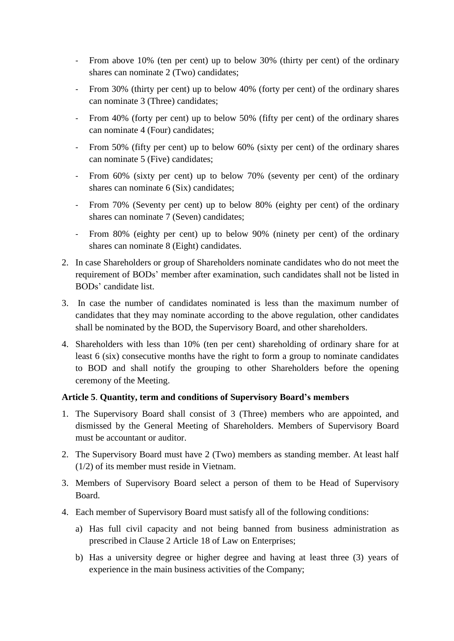- From above 10% (ten per cent) up to below 30% (thirty per cent) of the ordinary shares can nominate 2 (Two) candidates;
- From 30% (thirty per cent) up to below 40% (forty per cent) of the ordinary shares can nominate 3 (Three) candidates;
- From 40% (forty per cent) up to below 50% (fifty per cent) of the ordinary shares can nominate 4 (Four) candidates;
- From 50% (fifty per cent) up to below 60% (sixty per cent) of the ordinary shares can nominate 5 (Five) candidates;
- From 60% (sixty per cent) up to below 70% (seventy per cent) of the ordinary shares can nominate 6 (Six) candidates;
- From 70% (Seventy per cent) up to below 80% (eighty per cent) of the ordinary shares can nominate 7 (Seven) candidates;
- From 80% (eighty per cent) up to below 90% (ninety per cent) of the ordinary shares can nominate 8 (Eight) candidates.
- 2. In case Shareholders or group of Shareholders nominate candidates who do not meet the requirement of BODs' member after examination, such candidates shall not be listed in BODs' candidate list.
- 3. In case the number of candidates nominated is less than the maximum number of candidates that they may nominate according to the above regulation, other candidates shall be nominated by the BOD, the Supervisory Board, and other shareholders.
- 4. Shareholders with less than 10% (ten per cent) shareholding of ordinary share for at least 6 (six) consecutive months have the right to form a group to nominate candidates to BOD and shall notify the grouping to other Shareholders before the opening ceremony of the Meeting.

## **Article 5**. **Quantity, term and conditions of Supervisory Board's members**

- 1. The Supervisory Board shall consist of 3 (Three) members who are appointed, and dismissed by the General Meeting of Shareholders. Members of Supervisory Board must be accountant or auditor.
- 2. The Supervisory Board must have 2 (Two) members as standing member. At least half (1/2) of its member must reside in Vietnam.
- 3. Members of Supervisory Board select a person of them to be Head of Supervisory Board.
- 4. Each member of Supervisory Board must satisfy all of the following conditions:
	- a) Has full civil capacity and not being banned from business administration as prescribed in Clause 2 Article 18 of Law on Enterprises;
	- b) Has a university degree or higher degree and having at least three (3) years of experience in the main business activities of the Company;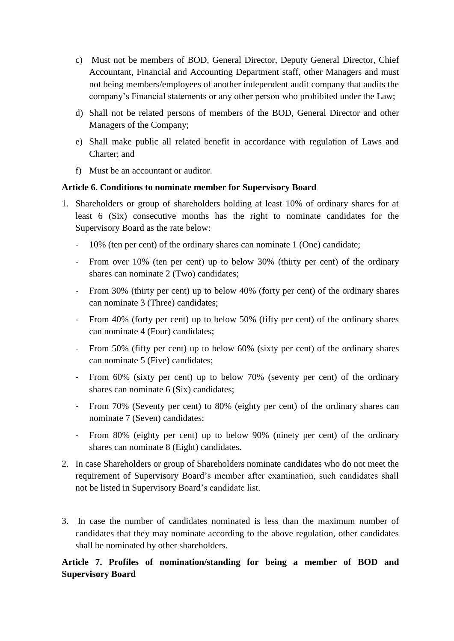- c) Must not be members of BOD, General Director, Deputy General Director, Chief Accountant, Financial and Accounting Department staff, other Managers and must not being members/employees of another independent audit company that audits the company's Financial statements or any other person who prohibited under the Law;
- d) Shall not be related persons of members of the BOD, General Director and other Managers of the Company;
- e) Shall make public all related benefit in accordance with regulation of Laws and Charter; and
- f) Must be an accountant or auditor.

#### **Article 6. Conditions to nominate member for Supervisory Board**

- 1. Shareholders or group of shareholders holding at least 10% of ordinary shares for at least 6 (Six) consecutive months has the right to nominate candidates for the Supervisory Board as the rate below:
	- 10% (ten per cent) of the ordinary shares can nominate 1 (One) candidate;
	- From over 10% (ten per cent) up to below 30% (thirty per cent) of the ordinary shares can nominate 2 (Two) candidates;
	- From 30% (thirty per cent) up to below 40% (forty per cent) of the ordinary shares can nominate 3 (Three) candidates;
	- From 40% (forty per cent) up to below 50% (fifty per cent) of the ordinary shares can nominate 4 (Four) candidates;
	- From 50% (fifty per cent) up to below 60% (sixty per cent) of the ordinary shares can nominate 5 (Five) candidates;
	- From 60% (sixty per cent) up to below 70% (seventy per cent) of the ordinary shares can nominate 6 (Six) candidates;
	- From 70% (Seventy per cent) to 80% (eighty per cent) of the ordinary shares can nominate 7 (Seven) candidates;
	- From 80% (eighty per cent) up to below 90% (ninety per cent) of the ordinary shares can nominate 8 (Eight) candidates.
- 2. In case Shareholders or group of Shareholders nominate candidates who do not meet the requirement of Supervisory Board's member after examination, such candidates shall not be listed in Supervisory Board's candidate list.
- 3. In case the number of candidates nominated is less than the maximum number of candidates that they may nominate according to the above regulation, other candidates shall be nominated by other shareholders.

# **Article 7. Profiles of nomination/standing for being a member of BOD and Supervisory Board**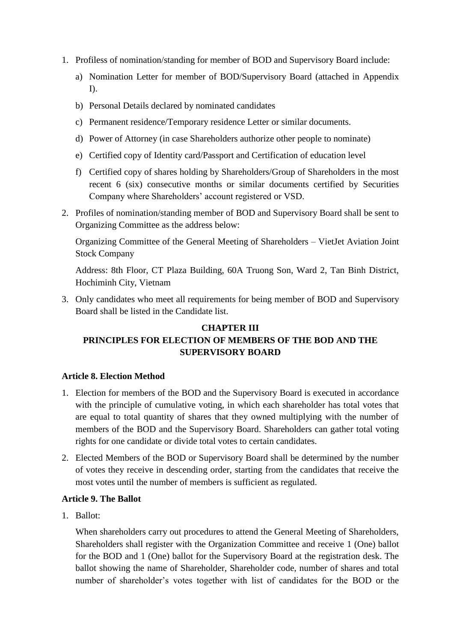- 1. Profiless of nomination/standing for member of BOD and Supervisory Board include:
	- a) Nomination Letter for member of BOD/Supervisory Board (attached in Appendix I).
	- b) Personal Details declared by nominated candidates
	- c) Permanent residence/Temporary residence Letter or similar documents.
	- d) Power of Attorney (in case Shareholders authorize other people to nominate)
	- e) Certified copy of Identity card/Passport and Certification of education level
	- f) Certified copy of shares holding by Shareholders/Group of Shareholders in the most recent 6 (six) consecutive months or similar documents certified by Securities Company where Shareholders' account registered or VSD.
- 2. Profiles of nomination/standing member of BOD and Supervisory Board shall be sent to Organizing Committee as the address below:

Organizing Committee of the General Meeting of Shareholders – VietJet Aviation Joint Stock Company

Address: 8th Floor, CT Plaza Building, 60A Truong Son, Ward 2, Tan Binh District, Hochiminh City, Vietnam

3. Only candidates who meet all requirements for being member of BOD and Supervisory Board shall be listed in the Candidate list.

# **CHAPTER III PRINCIPLES FOR ELECTION OF MEMBERS OF THE BOD AND THE SUPERVISORY BOARD**

#### **Article 8. Election Method**

- 1. Election for members of the BOD and the Supervisory Board is executed in accordance with the principle of cumulative voting, in which each shareholder has total votes that are equal to total quantity of shares that they owned multiplying with the number of members of the BOD and the Supervisory Board. Shareholders can gather total voting rights for one candidate or divide total votes to certain candidates.
- 2. Elected Members of the BOD or Supervisory Board shall be determined by the number of votes they receive in descending order, starting from the candidates that receive the most votes until the number of members is sufficient as regulated.

#### **Article 9. The Ballot**

1. Ballot:

When shareholders carry out procedures to attend the General Meeting of Shareholders, Shareholders shall register with the Organization Committee and receive 1 (One) ballot for the BOD and 1 (One) ballot for the Supervisory Board at the registration desk. The ballot showing the name of Shareholder, Shareholder code, number of shares and total number of shareholder's votes together with list of candidates for the BOD or the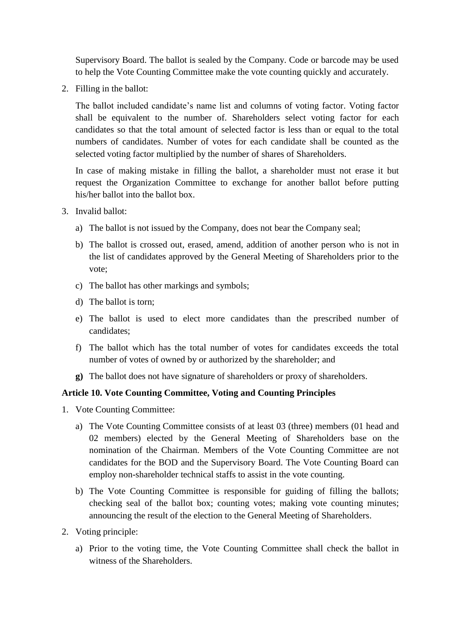Supervisory Board. The ballot is sealed by the Company. Code or barcode may be used to help the Vote Counting Committee make the vote counting quickly and accurately.

2. Filling in the ballot:

The ballot included candidate's name list and columns of voting factor. Voting factor shall be equivalent to the number of. Shareholders select voting factor for each candidates so that the total amount of selected factor is less than or equal to the total numbers of candidates. Number of votes for each candidate shall be counted as the selected voting factor multiplied by the number of shares of Shareholders.

In case of making mistake in filling the ballot, a shareholder must not erase it but request the Organization Committee to exchange for another ballot before putting his/her ballot into the ballot box.

- 3. Invalid ballot:
	- a) The ballot is not issued by the Company, does not bear the Company seal;
	- b) The ballot is crossed out, erased, amend, addition of another person who is not in the list of candidates approved by the General Meeting of Shareholders prior to the vote;
	- c) The ballot has other markings and symbols;
	- d) The ballot is torn;
	- e) The ballot is used to elect more candidates than the prescribed number of candidates;
	- f) The ballot which has the total number of votes for candidates exceeds the total number of votes of owned by or authorized by the shareholder; and
	- **g)** The ballot does not have signature of shareholders or proxy of shareholders.

#### **Article 10. Vote Counting Committee, Voting and Counting Principles**

- 1. Vote Counting Committee:
	- a) The Vote Counting Committee consists of at least 03 (three) members (01 head and 02 members) elected by the General Meeting of Shareholders base on the nomination of the Chairman. Members of the Vote Counting Committee are not candidates for the BOD and the Supervisory Board. The Vote Counting Board can employ non-shareholder technical staffs to assist in the vote counting.
	- b) The Vote Counting Committee is responsible for guiding of filling the ballots; checking seal of the ballot box; counting votes; making vote counting minutes; announcing the result of the election to the General Meeting of Shareholders.
- 2. Voting principle:
	- a) Prior to the voting time, the Vote Counting Committee shall check the ballot in witness of the Shareholders.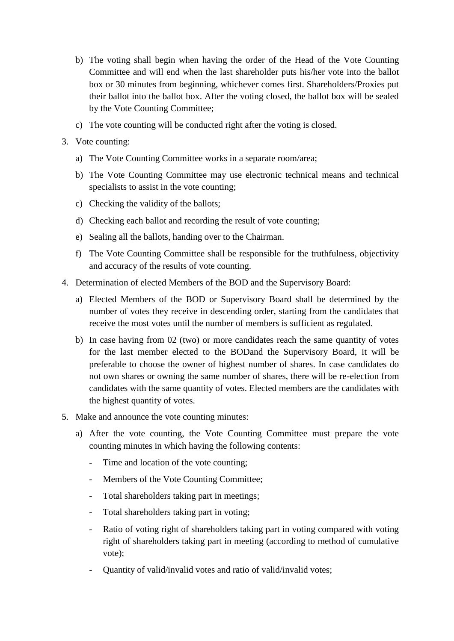- b) The voting shall begin when having the order of the Head of the Vote Counting Committee and will end when the last shareholder puts his/her vote into the ballot box or 30 minutes from beginning, whichever comes first. Shareholders/Proxies put their ballot into the ballot box. After the voting closed, the ballot box will be sealed by the Vote Counting Committee;
- c) The vote counting will be conducted right after the voting is closed.
- 3. Vote counting:
	- a) The Vote Counting Committee works in a separate room/area;
	- b) The Vote Counting Committee may use electronic technical means and technical specialists to assist in the vote counting;
	- c) Checking the validity of the ballots;
	- d) Checking each ballot and recording the result of vote counting;
	- e) Sealing all the ballots, handing over to the Chairman.
	- f) The Vote Counting Committee shall be responsible for the truthfulness, objectivity and accuracy of the results of vote counting.
- 4. Determination of elected Members of the BOD and the Supervisory Board:
	- a) Elected Members of the BOD or Supervisory Board shall be determined by the number of votes they receive in descending order, starting from the candidates that receive the most votes until the number of members is sufficient as regulated.
	- b) In case having from 02 (two) or more candidates reach the same quantity of votes for the last member elected to the BODand the Supervisory Board, it will be preferable to choose the owner of highest number of shares. In case candidates do not own shares or owning the same number of shares, there will be re-election from candidates with the same quantity of votes. Elected members are the candidates with the highest quantity of votes.
- 5. Make and announce the vote counting minutes:
	- a) After the vote counting, the Vote Counting Committee must prepare the vote counting minutes in which having the following contents:
		- Time and location of the vote counting;
		- Members of the Vote Counting Committee;
		- Total shareholders taking part in meetings;
		- Total shareholders taking part in voting;
		- Ratio of voting right of shareholders taking part in voting compared with voting right of shareholders taking part in meeting (according to method of cumulative vote);
		- Quantity of valid/invalid votes and ratio of valid/invalid votes;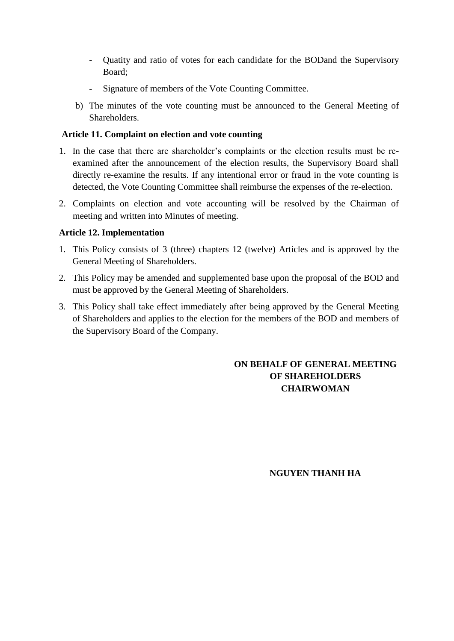- Quatity and ratio of votes for each candidate for the BODand the Supervisory Board;
- Signature of members of the Vote Counting Committee.
- b) The minutes of the vote counting must be announced to the General Meeting of **Shareholders**

## **Article 11. Complaint on election and vote counting**

- 1. In the case that there are shareholder's complaints or the election results must be reexamined after the announcement of the election results, the Supervisory Board shall directly re-examine the results. If any intentional error or fraud in the vote counting is detected, the Vote Counting Committee shall reimburse the expenses of the re-election.
- 2. Complaints on election and vote accounting will be resolved by the Chairman of meeting and written into Minutes of meeting.

## **Article 12. Implementation**

- 1. This Policy consists of 3 (three) chapters 12 (twelve) Articles and is approved by the General Meeting of Shareholders.
- 2. This Policy may be amended and supplemented base upon the proposal of the BOD and must be approved by the General Meeting of Shareholders.
- 3. This Policy shall take effect immediately after being approved by the General Meeting of Shareholders and applies to the election for the members of the BOD and members of the Supervisory Board of the Company.

# **ON BEHALF OF GENERAL MEETING OF SHAREHOLDERS CHAIRWOMAN**

## **NGUYEN THANH HA**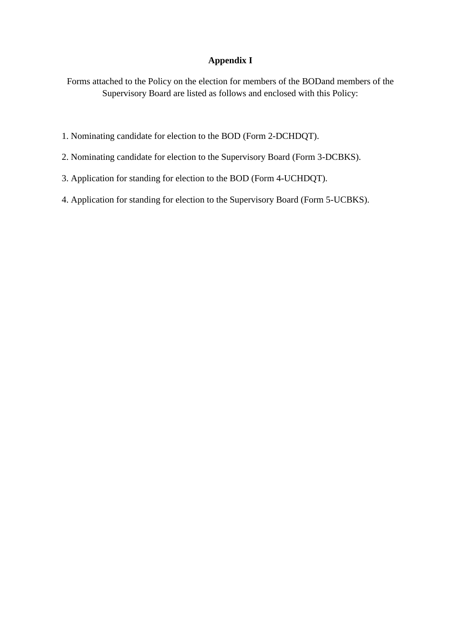### **Appendix I**

Forms attached to the Policy on the election for members of the BODand members of the Supervisory Board are listed as follows and enclosed with this Policy:

- 1. Nominating candidate for election to the BOD (Form 2-DCHDQT).
- 2. Nominating candidate for election to the Supervisory Board (Form 3-DCBKS).
- 3. Application for standing for election to the BOD (Form 4-UCHDQT).
- 4. Application for standing for election to the Supervisory Board (Form 5-UCBKS).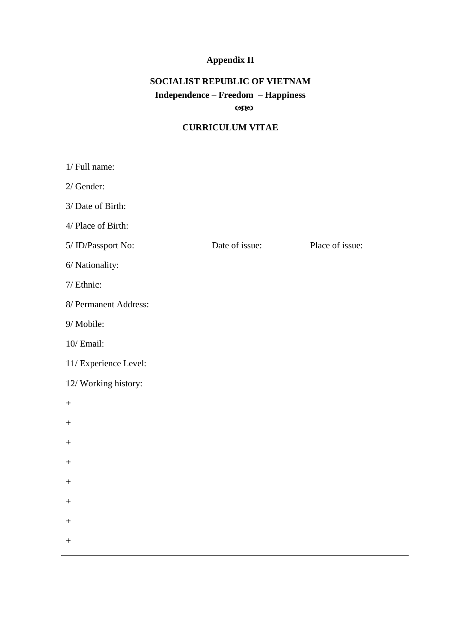# **Appendix II**

# **SOCIALIST REPUBLIC OF VIETNAM Independence – Freedom – Happiness CBEO**

# **CURRICULUM VITAE**

| 1/ Full name:         |                |                 |
|-----------------------|----------------|-----------------|
| 2/ Gender:            |                |                 |
| 3/ Date of Birth:     |                |                 |
| 4/ Place of Birth:    |                |                 |
| 5/ ID/Passport No:    | Date of issue: | Place of issue: |
| 6/ Nationality:       |                |                 |
| 7/ Ethnic:            |                |                 |
| 8/ Permanent Address: |                |                 |
| 9/ Mobile:            |                |                 |
| 10/ Email:            |                |                 |
| 11/ Experience Level: |                |                 |
| 12/ Working history:  |                |                 |
| $\boldsymbol{+}$      |                |                 |
| $^{+}$                |                |                 |
| $^{+}$                |                |                 |
| $^{+}$                |                |                 |
| $^{+}$                |                |                 |
| $^{+}$                |                |                 |
| $\boldsymbol{+}$      |                |                 |
| $\boldsymbol{+}$      |                |                 |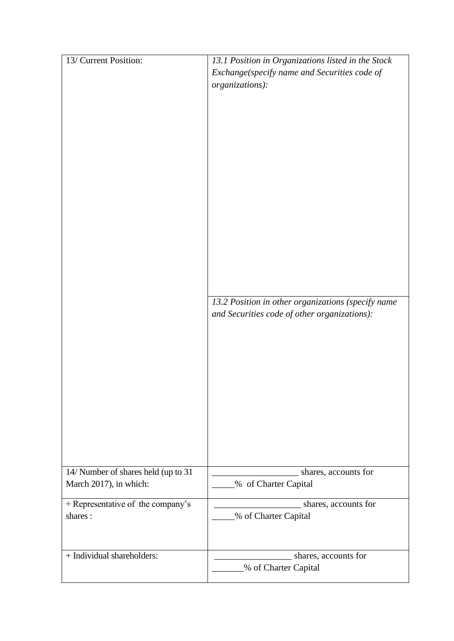| 13/ Current Position:                        | 13.1 Position in Organizations listed in the Stock |
|----------------------------------------------|----------------------------------------------------|
|                                              | Exchange(specify name and Securities code of       |
|                                              | organizations):                                    |
|                                              |                                                    |
|                                              |                                                    |
|                                              |                                                    |
|                                              |                                                    |
|                                              |                                                    |
|                                              |                                                    |
|                                              |                                                    |
|                                              |                                                    |
|                                              |                                                    |
|                                              |                                                    |
|                                              |                                                    |
|                                              |                                                    |
|                                              |                                                    |
|                                              |                                                    |
|                                              |                                                    |
|                                              |                                                    |
|                                              | 13.2 Position in other organizations (specify name |
|                                              | and Securities code of other organizations):       |
|                                              |                                                    |
|                                              |                                                    |
|                                              |                                                    |
|                                              |                                                    |
|                                              |                                                    |
|                                              |                                                    |
|                                              |                                                    |
|                                              |                                                    |
|                                              |                                                    |
|                                              |                                                    |
|                                              |                                                    |
| 14/ Number of shares held (up to 31          | shares, accounts for                               |
| March 2017), in which:                       | % of Charter Capital                               |
|                                              |                                                    |
| + Representative of the company's<br>shares: | shares, accounts for                               |
|                                              | % of Charter Capital                               |
|                                              |                                                    |
|                                              |                                                    |
| + Individual shareholders:                   | shares, accounts for                               |
|                                              | % of Charter Capital                               |